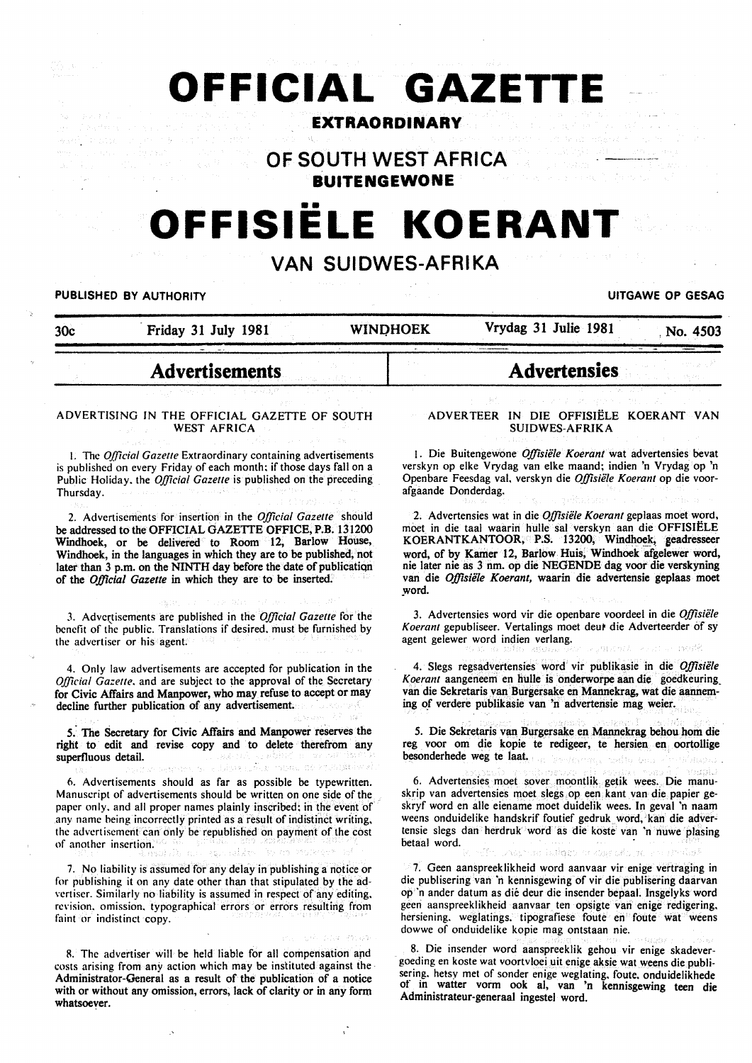# **OFFICIAL GAZETTE**

# **EXTRAORDINARY**

**OF SOUTH WEST AFRICA BUITENGEWONE** 

# OFFISIËLE KOERAN<sup>®</sup>

# **VAN SUIDWES-AFRIKA**

#### PUBLISHED BY AUTHORITY **UITGAWE OP GESAG**

30c Friday 31 July 1981 WINDHOEK Vrydag 31 Julie 1981 No. 4503

# **Advertisements**

#### ADVERTISING IN THE OFFICIAL GAZETTE OF SOUTH WEST AFRICA

I. The *Official Gazette* Extraordinary containing advertisements is published on every Friday of each month; if those days fall on a Public Holiday. the *Official Gazette* is published on the preceding Thursday.

2. Advertisements for insertion in the *Official Gazette* should be addressed to the OFFICIAL GAZETTE OFFICE, P.B. 131200 Windhoek, or be delivered to Room 12, Barlow House, Windhoek, in the languages in which they are to be published; not later than 3 p.m. on the NINTH day before the date of publicatiqn of the *Official Gazette* in which they are to be inserted.

3. Adve\\_tisements are published in the *Official Gazette* for the benefit of the public. Translations if desired. must be furnished by the advertiser or his agent.

4. Only law advertisements are accepted for publication in the *Official Gazette.* and are subject to the approval of the Secretary for Civic Affairs and Manpower, who may refuse to accept or may decline further publication of any advertisement.

5. The Secretary for Civic Affairs and Manpower reserves the right to edit and revise copy and to delete therefrom any superfluous detail. ána∻ so

6. Advertisements should as far as possible be typewritten. Manuscript of advertisements should be written on one side of the paper only. and all proper names plainly inscribed; in the event of any name being incorrectly printed as a result of indistinct writing. the advertisement can only be republished on payment of the cost of another insertion.

7. No liability is assumed for any delay in publishing a notice or for publishing it on any date other than that stipulated by the advertiser. Similarly no liability is assumed in respect of any editing. revision. omission. typographical errors or errors resulting from faint or indistinct copy.

R. The advertiser will be held liable for all compensation apd costs arising from any action which may be instituted against the Administrator-General as a result of the publication of a notice with or without any omission, errors, lack of clarity or in any form whatsoever.

#### ADVERTEER IN DIE OFFISIELE KOERANT VAN SUIDWES-AFRIKA

**Advertensies** 

1. Die Buitengewone *Offisiele Koerant* wat advertensies bevat verskyn op elke Vrydag van elke maand; indien 'n Vrydag op 'n Openbare Feesdag val, verskyn die *Offisiele Koerant* op die voorafgaande Donderdag.

2. Advertensies wat in die *Offisiele Koerant* geplaas moet word, moet in die taal waarin hulle sal verskyn aan die OFFISIELE KOERANTKANTOOR, P.S. 13200, Windhoek, geadresseer word, of by Kamer 12, Barlow Huis, Windhoek afgelewer word, nie later nie as 3 nm. op die NEGENDE dag voor die verskyning van die *Offisiele Koerant,* waarin die advertensie geplaas moet word.

3. Advertensies word vir die openbare voordeel in die *Offisiele*  Koerant gepubliseer. Vertalings moet deur die Adverteerder of sy agent gelewer word indien verlang.

4. Slegs regsadvertensies word vir publikasie in die *Oj]isiele Koerant* aangeneem en bulle is onderworpe aan die goedkeuring\_ van die Sekretaris van Burgersake en Mannekrag, wat die aanneming of verdere publikasie van 'n adverterisie mag weier.

5. Die Sekretaris van Burgersake en Mannekrag behou hom die reg voor om die kopie te redigeer, te hersien en oortollige besonderhede weg te laat.

6. Advertensies moet sover moontlik getik wees. Die manuskrip van advertensies moet slegs op een kant van die papier geskryf word en aile eiename moet duidelik wees. In geval 'n naam weens onduidelike handskrif foutief gedruk word, kan die advertensie slegs dan herdruk word as die koste van 'n nuwe plasing betaal word.<br>• Film Dagmas isliges a specification

7. Geen aanspreeklikheid word aanvaar vir enige vertraging in die publisering van 'n kennisgewing of vir die publisering daarvan op 'n ander datum as die deur die insender bepaal. Insgelyks word geen aanspreeklikheid aanvaar ten opsigte van enige redigering. hersiening. weglatings. tipografiese foute en foute wat weens dowwe of onduidelike kopie mag ontstaan nie.

8. Die insender word aanspreeklik gehou vir enige skadevergoeding en koste wat voortvloei uit enige aksie wat weens die publisering. hetsy met of sonder enige weglating. foute, onduidelikhede<br>of in watter vorm ook al van 'n kennisgewing teen die in watter vorm ook al, van 'n kennisgewing teen die Administrateur-generaal ingestel word.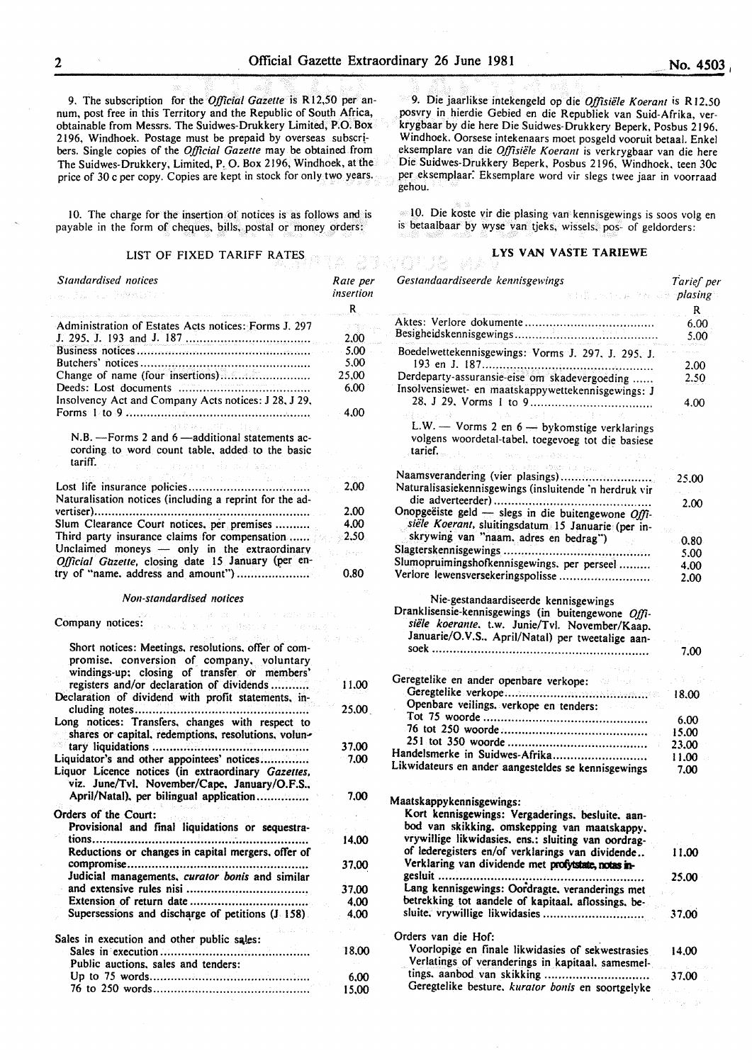*Rate per insertion*  R

> 2.00 5.00 5.00 25,00 6.00 4.00

9. The subscription for the *Official Gazette* is Rl2,50 per annum, post free in this Territory and the Republic of South Africa, obtainable from Messrs. The Suidwes-Drukkery Limited, P.O. Box 2196, Windhoek. Postage must be prepaid by overseas subscribers. Single copies of the *Official Gazette* may be obtained from The Suidwes-Drukkery, Limited, P, 0. Box 2196, Windhoek, at the price of 30 c per copy. Copies are kept in stock for only two years.

10. The charge for the insertion of notices is as follows and is payable in the form of cheques, bills, postal or money orders:

#### LIST OF FIXED TARIFF RATES

Administration of Estates Acts notices: Forms J. 297 J. 295. J. 193 and J. 187 ................................... . Business notices ................................................. . Butchers' notices ................................................ . Change of name (four insertions) ........................ .. Deeds: Lost documents ..................................... . Insolvency Act and Company Acts notices: J 28. J 29. Forms I to 9 ................................................... ..

 $N.B.$  -Forms 2 and 6 -additional statements according to word count table. added to the basic tariff.  $\hat{x}$  - gives .

|                                                                                                    | 2.00     |
|----------------------------------------------------------------------------------------------------|----------|
| Naturalisation notices (including a reprint for the ad-                                            |          |
|                                                                                                    | 2.00     |
| Slum Clearance Court notices, per premises                                                         | 4,00     |
| Third party insurance claims for compensation                                                      | $-2.50$  |
| Unclaimed moneys — only in the extraordinary<br>Official Gazette, closing date 15 January (per en- | The Bank |
|                                                                                                    | 0.80     |

新闻交出的人的 独立的

*Non-standardised notices* 

Company notices·:

*Standardised notices* 

*Sylvia* 

| Short notices: Meetings, resolutions, offer of com-<br>promise, conversion of company, voluntary<br>windings-up; closing of transfer or members' |       |
|--------------------------------------------------------------------------------------------------------------------------------------------------|-------|
| registers and/or declaration of dividends<br>Declaration of dividend with profit statements, in-                                                 | 11.00 |
| cluding notes                                                                                                                                    | 25.00 |
| Long notices: Transfers, changes with respect to<br>shares or capital, redemptions, resolutions, volun-                                          |       |
| tary liquidations                                                                                                                                | 37.00 |
| Liquidator's and other appointees' notices<br>Liquor Licence notices (in extraordinary Gazettes,<br>viz. June/Tvl. November/Cape. January/O.F.S  | 7.00  |
| April/Natal), per bilingual application                                                                                                          | 7.00  |
| Orders of the Court:                                                                                                                             |       |
| Provisional and final liquidations or sequestra-<br>tions                                                                                        | n,    |
| Reductions or changes in capital mergers, offer of                                                                                               | 14.00 |
| Judicial managements, curator bonis and similar                                                                                                  | 37,00 |
|                                                                                                                                                  | 37,00 |
|                                                                                                                                                  | 4.00  |
| Supersessions and discharge of petitions (J 158).                                                                                                | 4.00  |
| Sales in execution and other public sales:                                                                                                       |       |
|                                                                                                                                                  | 18.00 |
| Public auctions, sales and tenders:                                                                                                              |       |
|                                                                                                                                                  | 6.00  |
|                                                                                                                                                  | 15.00 |

9. Die jaarlikse intekengeld op die *Offisiiile Koeram* is R 12.50 posvry in hierdie Gebied en die Republiek van Suid-Afrika, verkrygbaar by die here Die Suidwes-Drukkery Beperk, Posbus 2196. Windhoek. Oorsese intekenaars moet posgeld vooruit betaal. Enkel eksemplare van die *Offisiiile Koeram* is verkrygbaar van die here Die Suidwes-Drukkery Beperk, Posbus 2196, Windhoek. teen 30c per eksemplaar: Eksemplare word vir slegs twee jaar in voorraad gehou.

lO. Die koste vir die plasing van kennisgewings is soos volg en is betaalbaar by wyse van tjeks, wissels; pos- of geldorders:

## LYS VAN VASTE TARIEWE

| Gestandaardiseerde kennisgewings<br>r tale of the Maria Bor <mark>plasing</mark> s                                                                                                                                                            | Tarief per |
|-----------------------------------------------------------------------------------------------------------------------------------------------------------------------------------------------------------------------------------------------|------------|
|                                                                                                                                                                                                                                               | R          |
| .<br>The company of the except of entry and security in the company of the political company of the company of the                                                                                                                            | 6.00       |
|                                                                                                                                                                                                                                               | 5.00       |
| Boedelwettekennisgewings: Vorms J. 297, J. 295, J.                                                                                                                                                                                            |            |
|                                                                                                                                                                                                                                               | 2.00       |
| Derdeparty-assuransie-eise om skadevergoeding<br>Insolvensiewet- en maatskappywettekennisgewings: J                                                                                                                                           | 2.50       |
| $\Gamma_{\rm{max}}$                                                                                                                                                                                                                           | 4.00       |
| $\mathcal{A}_{\mathcal{O}(\mathcal{O})} = \mathcal{O}(\sqrt{2})$<br>$\bar{L}$ , $\bar{L}$<br>$\sim$<br>L.W. - Vorms 2 en $6$ - bykomstige verklarings<br>volgens woordetal-tabel, toegevoeg tot die basiese<br>tarief.<br>net, a la avitat du |            |
| strom (1965) Sports and<br>Naamsverandering (vier plasings)                                                                                                                                                                                   |            |
| Naturalisasiekennisgewings (insluitende 'n herdruk vir                                                                                                                                                                                        | 25.00      |
|                                                                                                                                                                                                                                               | 2.00       |
| Onopgeëiste geld — slegs in die buitengewone $O/fi$ -                                                                                                                                                                                         |            |
| siële Koerant, sluitingsdatum 15 Januarie (per in-<br>skrywing van "naam, adres en bedrag")                                                                                                                                                   |            |
|                                                                                                                                                                                                                                               | 0.80       |
| Slumopruimingshofkennisgewings. per perseel                                                                                                                                                                                                   | 5.00       |
| Verlore lewensversekeringspolisse                                                                                                                                                                                                             | 4.00       |
|                                                                                                                                                                                                                                               | 2.00       |
| Nie-gestandaardiseerde kennisgewings<br>Dranklisensie-kennisgewings (in buitengewone Offi-<br>siële koerante. t.w. Junie/Tvl. November/Kaap.<br>Januarie/O.V.S., April/Natal) per tweetalige aan-                                             |            |
|                                                                                                                                                                                                                                               | 7.00       |
|                                                                                                                                                                                                                                               |            |
| Geregtelike en ander openbare verkope:                                                                                                                                                                                                        | s Gijo     |
|                                                                                                                                                                                                                                               | 18,00      |
| Openbare veilings, verkope en tenders:                                                                                                                                                                                                        |            |
|                                                                                                                                                                                                                                               | 6.00       |
|                                                                                                                                                                                                                                               | 15.00      |
|                                                                                                                                                                                                                                               | 23.00      |
| Handelsmerke in Suidwes-Afrika                                                                                                                                                                                                                | 11.00      |
| Likwidateurs en ander aangesteldes se kennisgewings                                                                                                                                                                                           | 7.00       |
| Maatskappykennisgewings:<br>Kort kennisgewings: Vergaderings. besluite. aan-<br>bod van skikking, omskepping van maatskappy.<br>vrywillige likwidasies. ens.: sluiting van oordrag-                                                           |            |
| of lederegisters en/of verklarings van dividende<br>Verklaring van dividende met profytstate, notas in-                                                                                                                                       | 11.00      |
| gesluit<br>                                                                                                                                                                                                                                   | 25.00      |
| Lang kennisgewings: Oordragte, veranderings met                                                                                                                                                                                               |            |
| betrekking tot aandele of kapitaal, aflossings, be-                                                                                                                                                                                           |            |
| sluite. vrywillige likwidasies                                                                                                                                                                                                                | 37.00      |
| Orders van die Hof:                                                                                                                                                                                                                           |            |
| Voorlopige en finale likwidasies of sekwestrasies                                                                                                                                                                                             | 14.00      |
| Verlatings of veranderings in kapitaal, samesmel-                                                                                                                                                                                             |            |
| tings. aanbod van skikking<br>Geregtelike besture. kurator bonis en soortgelyke                                                                                                                                                               | 37.00      |

**Transport**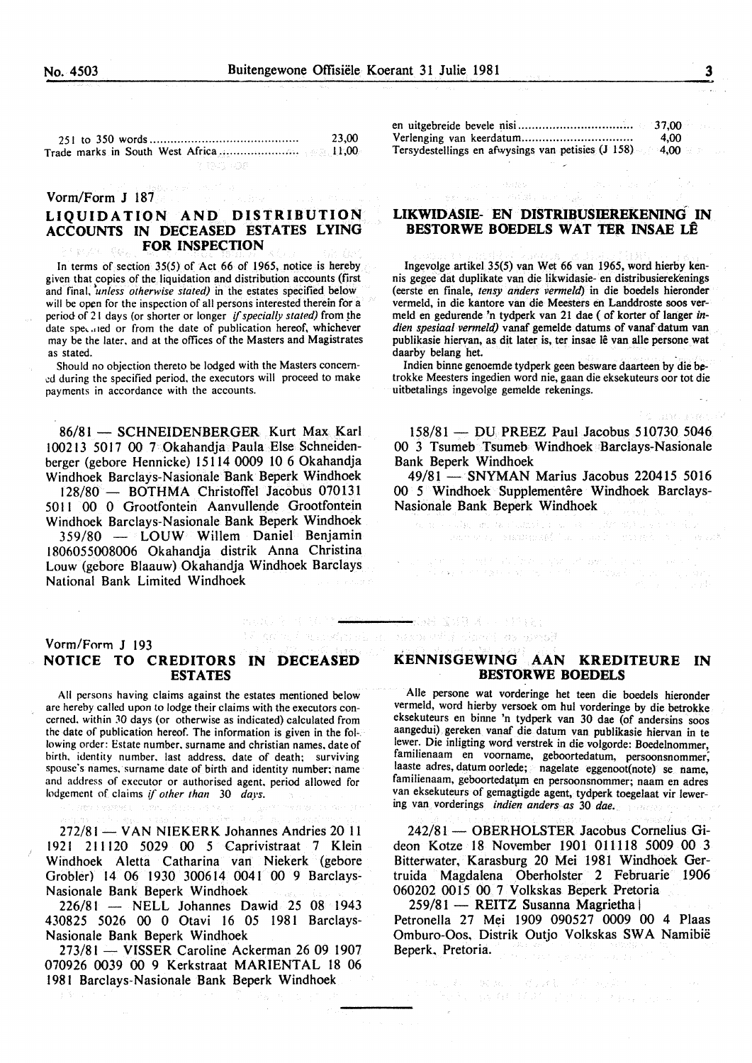23,00 251 to 350 words .......................................... . Trade marks in South West Africa ...................... . 11,00 7 1941 4049

#### Vorm/Form J 187

# **LIQUIDATION AND DISTRIBUTION ACCOUNTS IN DECEASED ESTATES LYING FOR INSPECTION**

In terms of section 35(5) of Act 66 of 1965, notice is hereby given that copies of the liquidation and distribution accounts (first and final. *'unless otherwise stated)* in the estates specified below will be open for the inspection of all persons interested therein for a period of 21 days (or shorter or longer *if specially stated)* from the date speculed or from the date of publication hereof, whichever may be the later. and at the offices of the Masters and Magistrates as stated.

Should no objection thereto be lodged with the Masters concem ed during the specified period, the executors will proceed to make payments in accordance with the accounts.

86/81 - SCHNEIDENBERGER Kurt Max Karl I 00213 50 17 00 7 Okahandja Paula Else Schneidenberger (gebore Hennicke) 15114 0009 10 6 Okahandja Windhoek Barclays-Nasionale Bank Beperk Windhoek

128/80 - BOTHMA Christoffel Jacobus 070131 50 I I 00 0 Grootfontein Aanvullende Grootfontein Windhoek Barclays-Nasionale Bank Beperk Windhoek  $359/80$  - LOUW Willem Daniel Benjamin

1806055008006 Okahandja distrik Anna Christina Louw (gebore Blaauw) Okahandja Windhoek Barclays National Bank Limited Windhoek

### Vorm/Forrn **J** 193 **NOTICE TO CREDITORS IN DECEASED ESTATES**

All persons having claims against the estates mentioned below arc hereby called upon to lodge their claims with the executors concerned. within JO days (or otherwise as indicated) calculated from the date of publication hereof. The information is given in the following order: Estate number. surname and christian names. date of birth. identity number. last address. date of death; surviving spouse's names, surname date of birth and identity number; name and address of executor or authorised agent. period allowed for lodgement of claims if *other than* 30 *days.* 

272/81 - VAN NIEKERK Johannes Andries 20 11 1921 21 1120 5029 00 5 Caprivistraat 7 Klein Windhoek Aletta Catharina van Niekerk (gebore Grobler) 14 06 1930 300614 0041 00 9 Barclays-Nasiona1e Bank Beperk Windhoek

226/81 - NELL Johannes Dawid 25 08 1943 430825 5026 00 0 Otavi 16 05 1981 Barclays-Nasionale Bank Beperk Windhoek

273/81 - VISSER Caroline Ackerman 26 09 1907 070926 0039 00 9 Kerkstraat MARIENTAL 18 06 1981 Barclays-Nasionale Bank Beperk Windhoek

|                                                                  | 37,00 |
|------------------------------------------------------------------|-------|
|                                                                  | 4.00  |
| Tersydestellings en afwysings van petisies $(1\ 158)$ 4,00 $\pm$ |       |

#### **LIKWIDASIE- EN DISTRIBUSIEREKENING IN BESTORWE BOEDELS WAT TER INSAE LE**

Ingevolge artikel 35(5) van Wet 66 van 1965, word hierby kennis gegee dat duplikate van die likwidasie- en distribusierekenings (eerste en finale, *tensy anders vermeld)* in die boedels hieronder vermeld, in die kantore van die Meesters en Landdroste soos vermeld en gedurende 'n tydperk van 21 dae (of korter of Ianger *indien spesiaal vermeld)* vanaf gemelde datums of vanaf datum van publikasie hiervan, as dit later is, ter insae lê van alle persone wat daarby belang het.

Indien binne genoemde tydperk geen besware daarteen by die betrokke Meesters ingedien word nie, gaan die eksekuteurs oor tot die uitbetalings ingevolge gemelde rekenings.

158/81 - DU PREEZ Paul Jacobus 510730 5046 00 3 Tsumeb Tsumeb Windhoek Barclays-Nasionale Bank Beperk Windhoek

49/81 - SNYMAN Marius Jacobus 220415 5016 00 5 Windhoek Supplementêre Windhoek Barclays-Nasionale Bank Beperk Windhoek

ist specialiste (1879), fransk parliament<br>19. oktober - Konger Amerika, fransk politik

勤務報 蜜母草 オリー 付け(表) taround dan't mount

elk maa kuni an was conducted the load to group

 $\frac{12M^2\sqrt{16}\left(4\right)}{2\left(2\right)\left(2\right)}\times\frac{1}{2}$ 

#### **KENNISGEWING AAN KREDITEURE IN BESTORWE BOEDELS**

Aile persone wat vorderinge het teen die boedels hieronder vermeld, word hierby versoek om hul vorderinge by die betrokke eksekuteurs en binne 'n tydperk van 30 dae (of andersins soos aangedui) gereken vanaf die datum van publikasie hiervan in te lewer. Die inligting word verstrek in die volgorde: Boedelnommer, familienaam en voorname, geboortedatum, persoonsnommer, laaste adres, datum oorlede; nagelate eggenoot(note) se name, familienaam, geboortedatum en persoonsnommer; naam en adres van eksekuteurs of gemagtigde agent, tydperk toegelaat vir lewering van vorderings *indien anders as* 30 *dae.* 

242/81 - OBERHOLSTER Jacobus Cornelius Gideon Kotze 18 November 1901 011118 5009 00 3 Bitterwater, Karasburg 20 Mei 1981 Windhoek Gertruida Magdalena Oberholster 2 Februarie 1906 060202 0015 00 7 Volkskas Beperk Pretoria

259/81 - REITZ Susanna Magrietha

Petronella 27 Mei 1909 090527 0009 00 4 Plaas Omburo-Oos, Distrik Outjo Vo1kskas SWA Namibie Beperk. Pretoria.

へもにし おいこ ぬけにい けんえいぼくしんぶ ベースト 是人民的事物*不是一个*是他的人的事情。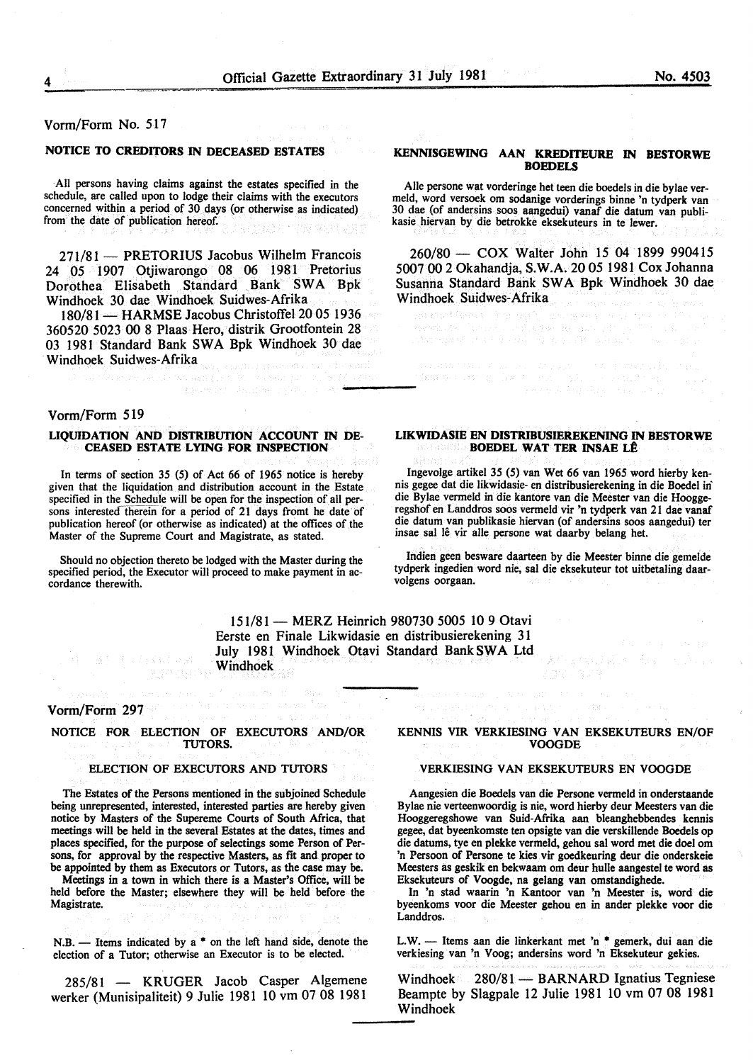#### Vorm/Form No. 517

#### NOTICE TO CREDITORS IN DECEASED ESTATES

All persons having claims against the estates specified in the schedule, are called upon to lodge their claims with the executors concerned within a period of 30 days (or otherwise as indicated) from the date of publication hereof. a komunë e rishteta ka vitet usht

271/81 - PRETORIUS Jacobus Wilhelm Francois 24 05 1907 Otjiwarongo 08 06 1981 Pretorius Dorothea Elisabeth Standard Bank SWA Bpk Windhoek 30 dae Windhoek Suidwes-Afrika

180/81 - HARMSE Jacobus Christoffel 20 05 1936 360520 5023 00 8 Plaas Hero, distrik Grootfontein 28 03 1981 Standard Bank SWA Bpk Windhoek 30 dae Windhoek Suidwes-Afrika

Vorm/Form 519

#### LIQUIDATION AND DISTRIBUTION ACCOUNT IN DE-CEASED ESTATE LYING FOR INSPECTION

In terms of section 35 (5) of Act 66 of 1965 notice is hereby given that the liquidation and distribution account in the Estate specified in the Schedule will be open for the inspection of all persons interested therein for a period of 21 days fromt he date of publication hereof (or otherwise as indicated) at the offices of the Master of the Supreme Court and Magistrate, as stated.

Should no objection thereto be lodged with the Master during the specified period, the Executor will proceed to make payment in accordance therewith.

#### KENNISGEWING AAN KREDITEURE IN BESTORWE **BOEDELS**

Aile persone wat vorderinge het teen die boedels in die bylae ver-30 dae (of andersins soos aangedui) vanaf die datum van publikasie hiervan by die betrokke eksekuteurs in te lewer.

260/80- COX Walter John 15 04 1899 990415 5007 00 2 Okahandja, S.W.A. 20 05 1981 Cox Johanna Susanna Standard Bank SWA Bpk Windhoek 30 dae Windhoek Suidwes-Afrika

digment fleets in the gay mentions (where conducting the move ritary)<br>Simply of the co-color field of Charles in  $\label{eq:decomp} \begin{split} &\mathcal{D}(\mathcal{E},\mathcal{E},\mathcal{D})\otimes\mathcal{E}(\mathcal{E},\mathcal{E})\otimes\mathcal{E}(\mathcal{E},\mathcal{E},\mathcal{E})\otimes\mathcal{E}(\mathcal{E},\mathcal{E},\mathcal{E},\mathcal{E})\otimes\mathcal{E}(\mathcal{E},\mathcal{E},\mathcal{E},\mathcal{E},\mathcal{E})\otimes\mathcal{E}(\mathcal{E},\mathcal{E},\mathcal{E},\mathcal{E},\mathcal{E},\mathcal{E},\mathcal{E},\mathcal{E},\mathcal{E$ 

#### LIKWIDASIE EN DISTRIBUSIEREKENING IN BESTORWE **BOEDEL WAT TER INSAE LÊ**

Ingevolge artikel 35 (5) van Wet 66 van 1965 word hierby kennis gegee dat die likwidasie- en distribusierekening in die Boedel in' die Bylae vermeld in die kantore van die Meester van die Hooggeregshof en Landdros soos vermeld vir 'n tydperk van 21 dae vanaf die datum van publikasie hiervan (of andersins soos aangedui) ter insae sal le vir aile persone wat daarby belang het.

Indien geen besware daarteen by die Meester binne die gemelde tydperk ingedien word nie, sal die eksekuteur tot uitbetaling daarvolgens oorgaan.

151/81- MERZ Heinrich 980730 5005 10 9 Otavi Eerste en Finale Likwidasie en distribusierekening 31 July 1981 Windhoek Otavi Standard Bank SWA Ltd Windhoek

#### Vorm/Form 297

NOTICE FOR ELECTION OF EXECUTORS AND/OR TUTORS.

**RUMBEDR** 

#### ELECTION OF EXECUTORS AND TUTORS

The Estates of the Persons mentioned in the subjoined Schedule being unrepresented, interested, interested parties are hereby given notice by Masters of the Supereme Courts of South Africa, that meetings will be held in the several Estates at the dates, times and places specified, for the purpose of selectings some Person of Persons, for approval by the respective Masters, as fit and proper to be appointed by them as Executors or Tutors, as the case may be.

Meetings in a town in which there is a Master's Office, will be held before the Master; elsewhere they will be held before the Magistrate.

 $N.B.$  - Items indicated by a  $*$  on the left hand side, denote the election of a Tutor; otherwise an Executor is to be elected.

285/81 - KRUGER Jacob Casper Algemene werker (Munisipaliteit) 9 Julie 1981 10 vm 07 08 1981

#### KENNIS VIR VERKIESING VAN EKSEKUTEURS EN/OF VOOGDE

有它,内容是

#### VERKffiSING VAN EKSEKUTEURS EN VOOGDE

Aangesien die Boedels van die Persone vermeld in onderstaande Bylae nie verteenwoordig is nie, word hierby deur Meesters van die Hooggeregshowe van Suid-Afrika aan bleanghebbendes kennis gegee, dat byeenkomste ten opsigte van die verskillende Boedels op die datums, tye en plekke vermeld, gehou sal word met die doel om 'n Persoon of Persone te kies vir goedkeuring deur die onderskeie Meesters as geskik en bekwaam om deur bulle aangestel te word as Eksekuteurs of Voogde, na gelang van omstandighede.

In 'n stad waarin 'n Kantoor van 'n Meester is. word die byeenkoms voor die Meester gehou en in ander plekke voor die Landdros.

L.W. - Items aan die linkerkant met 'n \* gemerk, dui aan die verkiesing van 'n Voog; andersins word 'n Eksekuteur gekies.

Windhoek 280/81 - BARNARD Ignatius Tegniese Beampte by Slagpale 12 Julie 1981 10 vm 07 08 1981 Windhoek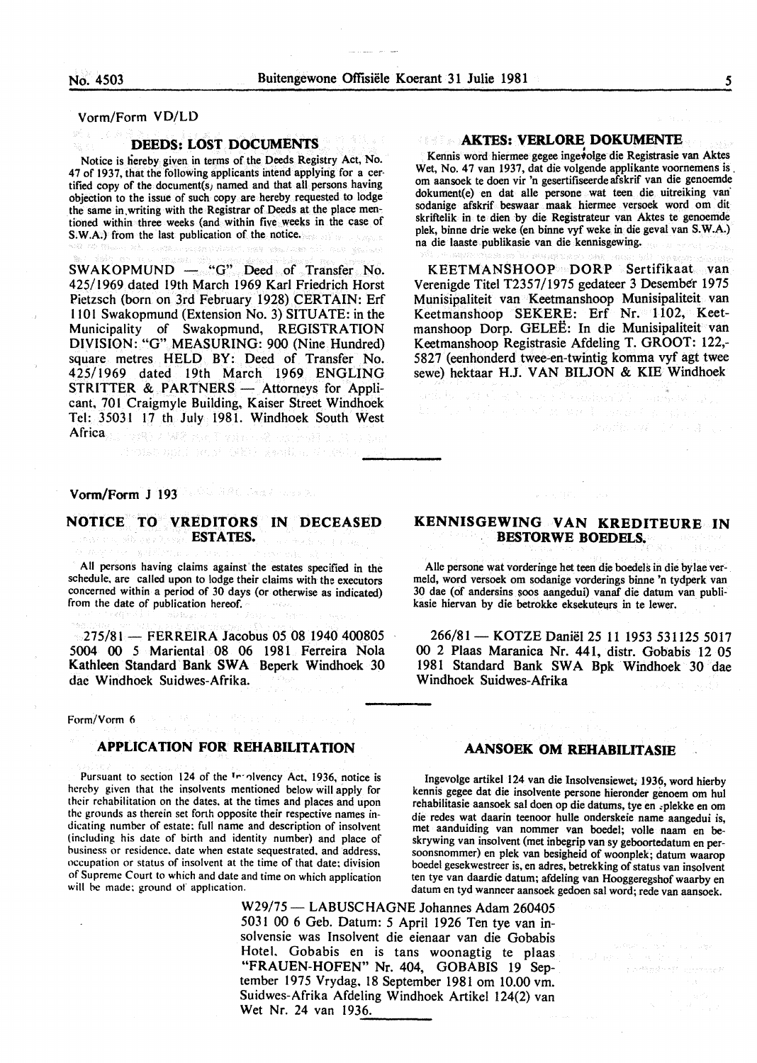Vorm/Form VD/LD

#### DEEDS: LOST DOCUMENTS

Notice is hereby given in terms of the Deeds Registry Act, No. 47 of 1937, that the following applicants intend applying for a certified copy of the document(s) named and that all persons having objection to the issue of such copy are hereby requested to lodge the same in. writing with the Registrar of Deeds at the place mentioned within three weeks (and within five weeks in the case of S.W.A.) from the last publication of the notice.

SWAKOPMUND - "G" Deed of Transfer No. 425/1969 dated 19th March 1969 Karl Friedrich Horst Pietzsch {born on 3rd February 1928) CERTAIN: Erf 1101 Swakopmund (Extension No.3) SITUATE: in the Municipality of Swakopmund, REGISTRATION DIVISION: "G" MEASURING: 900 (Nine Hundred) square metres HELD BY: Deed of Transfer No. 425/1969 dated 19th March 1969 ENGLING STRITTER & PARTNERS - Attorneys for Applicant, 701 Craigmyle Building, Kaiser Street Windhoek Tel: 35031 17 th July 1981. Windhoek South West **Africa** go and a second with the composit

# Vorm/Form J 193 **Market Ward Street Avenue 2**

#### NOTICE TO VREDITORS IN DECEASED ESTATES. inar me yêb ye. Kurdî

TOLE mill Roof (线) / yaqila, Griget

All persons having claims against the estates specified in the schedule. are called upon to lodge their claims with the executors concerned within a period of 30 days (or otherwise as indicated) from the date of publication hereof.

275/81 - FERREIRA Jacobus 05 08 1940 400805 5004 00 *5* Mariental 08 06 1981 Ferreira Nola Kathleen Standard Bank SWA Beperk Windhoek 30 dac Windhoek Suidwes-Afrika.

Form/Vorm 6

#### APPLICATION FOR REHABILITATION

Pursuant to section 124 of the <sup>The S</sup>luency Act. 1936, notice is Ingevolge artikel 124 van die Insolvensiewet; 1936, word hierby hereby given that the insolvents mentioned below will apply for kennis genee dat die insolve hereby given that the insolvents mentioned below will apply for kennis gegee dat die insolvente persone hieronder genoem om hul<br>their rehabilitation on the dates, at the times and places and upon rehabilitasie aansoek sal their rehabilitation on the dates, at the times and places and upon rehabilitasie aansoek sal doen op die datums, tye en «plekke en om the grounds as therein set forth opposite their respective names in-<br>die redes wat daar the grounds as therein set forth opposite their respective names in-<br>die redes wat daarin teenoor hulle onderskeie name and aangedui is,<br>met aanduiding van nommer van boedel; volle naam en bedicating number of estate: full name and description of insolvent met aanduiding van nommer van boedel; volle naam en be-<br>(including his date of birth and identity number) and place of skrywing van insolvent (met inbegrin (including his date of birth and identity number) and place of skrywing van insolvent (met inbegrip van sy geboortedatum en per-<br>business or residence, date when estate sequestrated, and address, soonsnommer) en plek van b business or residence, date when estate sequestrated, and address. soonsnommer) en plek van besigheid of woonplek; datum waarop occupation or status of insolvent at the time of that date; division boedel gesekwestreer is e occupation or status of insolvent at the time of that date: division boedel gesekwestreer is, en adres, betrekking of status van insolvent of Supreme Court to which and date and time on which application ten tye van daardi

#### **AKTES: VERLORE DOKUMENTE**

Kennis word hiermee gegee ingevolge die Registrasie van Aktes Wet, No. 47 van 1937, dat die volgende applikante voomemens is\_ om aansoek te doen vir 'n gesertifiseerde afskrif van die genoemde dokument(e) en dat aile persone wat teen die uitreiking van· sodanige afskrif beswaar maak hiermee versoek word om dit skriftelik in te dien by die Registrateur van Aktes te genoemde plek, binne drie weke (en binne vyf weke in die geval van S.W.A.) na die laaste publikasie van die kennisgewing.

KEETMANSHOOP DORP Sertifikaat van Verenigde Titel T2357/1975 gedateer 3 Desember 1975 Munisipaliteit van Keetmanshoop Munisipaliteit van Keetmanshoop SEKERE: Erf Nr. 1102, Keetmanshoop Dorp. GELEE: In die Munisipaliteit van Keetmanshoop Registrasie Mdeling T. GROOT: 122,- 5827 (eenhonderd twee-en-twintig komma vyf agt twee sewe) hektaar H.J. VAN BILJON & KIE Windhoek

into v 9 Kosti kao od kaminacija i naušasko.<br>Povod od najveće iz sve i navne i povod

Westfall and Co

# KENNISGEWING VAN KREDITEURE IN BESTORWE BOEDELS.

Aile persone wat vorderinge bet teen die boedels in die bylae vermeld, word versoek om sodanige vorderings binne 'n tydperk van 30 dae {of andersins soos aangedui) vanaf die datum van publikasie hiervan by die betrokke eksekuteurs in te lewer.

266/81 - KOTZE Daniël 25 11 1953 531125 5017 00 2 Plaas Maranica Nr. 441, distr. Gobabis 12 05 1981 Standard Bank SWA Bpk Windhoek 30 dae Windhoek Suidwes-Afrika

### AANSOEK OM REHABILITASIE

of Supreme Court to which and date and time on which application ten tye van daardie datum; afdeling van Hooggeregshof waarby en will be made; ground of application.

معالات فيسبو مقعدين

W29/75 - LABUSCHAGNE Johannes Adam 260405 5031 00 6 Geb. Datum: *5* April 1926 Ten tye van insolvensie was Insolvent die eienaar van die Gobabis Hotel. Gobabis en is tans woonagtig te plaas "FRAUEN-HOFEN" Nr. 404, GOBABIS 19 September 1975 Vrydag. 18 September 1981 om 10.00 vm. Suidwes-Afrika Afdeling Windhoek Artikel 124(2) van Wet Nr. 24 van 1936.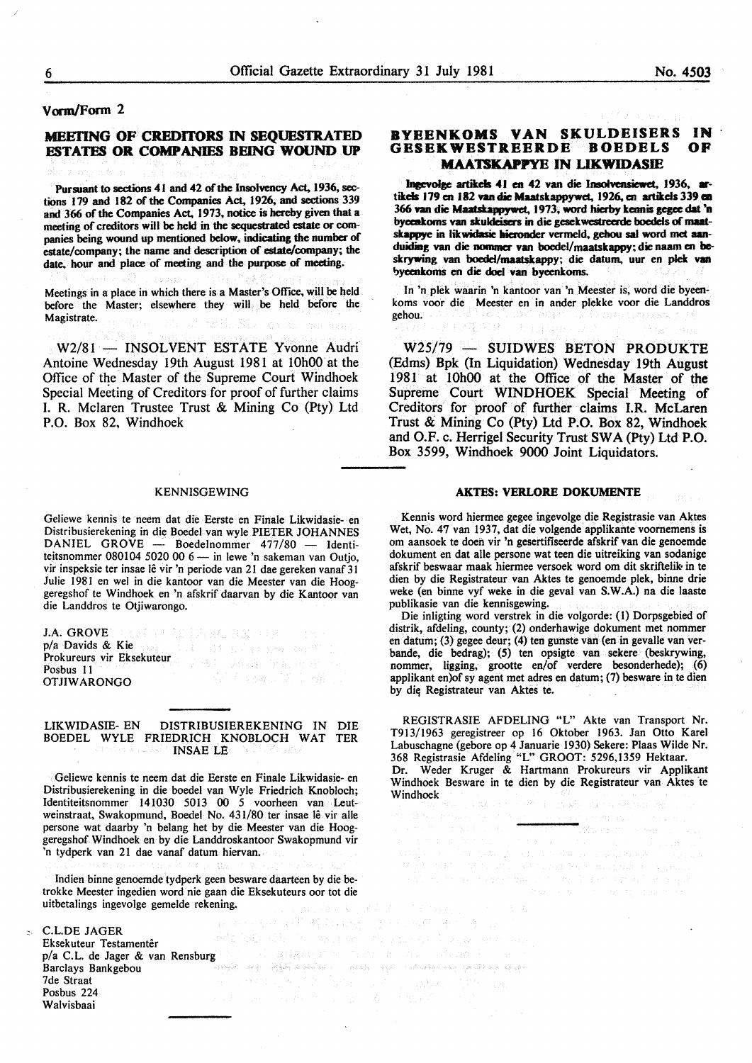#### Vorm/Form 2

# MEETING OF CREDITORS IN SEQUESTRATED ESTATES OR COMPANIES BEING WOUND UP

Pursuant to sections 41 and 42 of the Insolvency Act, 1936, sections 179 and 182 of the Companies Act. 1926, and sections 339 and 366 of the Companies Act. 1973, notice is hereby given that a meeting of creditors will be held in the sequestrated estate or companies being wound up mentioned below, indicating the number of estate/company; the name and description of estate/company; the date. hour and place of meeting and the purpose of meeting.

Meetings in a place in which there is a Master's Office, will be held before the Master; elsewhere they will be held before the Magistrate.

W2/81 - INSOLVENT ESTATE Yvonne Audri Antoine Wednesday 19th August 1981 at lOhOO at the Office of the Master of the Supreme Court Windhoek Special Meeting of Creditors for proof of further claims I. R. Mclaren Trustee Trust & Mining Co (Pty) Ltd P.O. Box 82, Windhoek

#### KENNISGEWING

Geliewe kennis te neem dat die Eerste en Finale Likwidasie- en Distribusierekening in die Boedel van wyle PIETER JOHANNES  $DANIEL$   $GROVE$  - Boedelnommer  $477/80$  - Identiteitsnommer 080104 5020 00  $6-$  in lewe 'n sakeman van Outjo, vir inspeksie ter insae lê vir 'n periode van 21 dae gereken vanaf 31 Julie 1981 en wei in die kantoor van die Meester van die Hooggeregshof te Windhoek en 'n afskrif daarvan by die Kantoor van die Landdros te Otjiwarongo.

J.A. GROVE REAL PROPERTY AND RESEARCH THE REAL  $p/a$  Davids & Kie  $\frac{1}{2}$  by the state of the state supply Prokureurs vir Eksekuteur 了吗? 法国庭 原始同时的 化 Posbus 11 OTJIWARONGO

LIKWIDASIE- EN DISTRIBUSIEREKENING IN DIE BOEDEL WYLE FRIEDRICH KNOBLOCH WAT TER INSAE LE

Geliewe kennis te neem dat die Eerste en Finale Likwidasie- en Distribusierekening in die boedel van Wyle Friedrich Knobloch; Identiteitsnommer 141030 5013 00 *5* voorheen van Leutweinstraat. Swakopmund, Boedel No. 431/80 ter insae lê vir alle persone wat daarby 'n belang het by die Meester van die Hooggeregshof Windhoek en by die Landdroskantoor Swakopmund vir 'n tydperk van 21 dae vanaf datum hiervan.

Indien binne genoemde tydperk geen besware daarteen by die betrokke Meester ingedien word nie gaan die Eksekuteurs oor tot die uitbetalings ingevolge gemelde rekening.

**つちに、みずだ**。

C.L.DE JAGER 运动检验机 机程 Eksekuteur Testamentêr p/a C.L. de Jager & van Rensburg de Communication of the communication of the service of the service of the service of the service of the service of the service of the service of the service of the service of the service o Barclays Bankgebou 7de Straat Posbus 224 Walvisbaai

# BYEENKOMS VAN SKULDEISERS IN<br>GESEKWESTREERDE ROEDELS OF GESEKWESTREERDE BOEDELS **MAATSKAPPYE IN LIKWIDASIE**

lnecvolge artikels 41 en 42 van die Insolvensiewet. 1936, artikels 179 en 182 van die Maatskappywet, 1926, en artikels 339 en 366 van die Maatskappywet. 1973, word hierby kennis gegee dat 'n byccnkoms van skuldcisers in die gesekwestreerde boedels of maatskappye in likwidasie hieronder vermeld, gehou sal word met aanduiding van die nommer van boedel/maatskappy; die naam en beskrywing van boedel/maatskappy; die datum, uur en plek van byeenkoms en die doel van byeenkoms.

In 'n plek waarin 'n kantoor van 'n Meester is, word die byeenkoms voor die Meester en in ander plekke voor die Landdros gehou.

W25/79 - SUIDWES BETON PRODUKTE (Edms) Bpk (In Liquidation) Wednesday 19th August 1981 at 10h00 at the Office of the Master of the Supreme Court WINDHOEK Special Meeting of Creditors for proof of further claims I.R. McLaren Trust & Mining Co (Pty) Ltd P.O. Box 82, Windhoek and O.F. c. Herrigel Security Trust SW A (Pty) Ltd P.O. Box 3599, Windhoek 9000 Joint Liquidators.

#### AKTES: VERLORE DOKUMENTE

Kennis word hiermee gegee ingevolge die Registrasie van Aktes Wet, No. *41* van 1937, dat die volgende applikante voornemens is om aansoek te doen vir 'n gesertifiseerde afskrif van die genoemde dokument en dat aile persone wat teen die uitreiking van sodanige afskrif beswaar maak hiermee versoek word om dit skriftelik- in te dien by die Registrateur van Aktes te genoemde plek, binne drie weke (en binne vyf weke in die geval van S.W.A.) na die laaste publikasie van die kennisgewing.

Die inligting word verstrek in die volgorde: (I) Dorpsgebied of distrik, afdeling, county; (2) onderhawige dokument met nommer en datum; (3) gegee deur; (4) ten gunste van (en in gevalle van verbande, die bedrag); (5) ten opsigte van sekere (beskrywing, nommer, ligging, grootte en/of verdere besonderhede); (6) applikant en)of sy agent met adres en datum; (7) besware in te dien by die; Registrateur van Aktes te.

REGISTRASIE AFDELING "L" Akte van Transport Nr. T913/1963 geregistreer op 16 Oktober 1963. Jan Otto Karel Labuschagne (gebore op 4 Januarie 1930) Sekere: Plaas Wilde Nr. 368 Registrasie Afdeling "L" GROOT: 5296,1359 Hektaar. Dr. Weder Kruger & Hartmann Prokureurs vir Applikant Windhoek Besware in te dien by die Registrateur van Aktes te Windhoek

 $\beta=15.3\%$ 

 $\label{eq:2.1} \mathcal{A}_{\mathcal{A}} = \mathcal{A}_{\mathcal{A}} \mathcal{L}^{\mathcal{A}} = \mathcal{A}_{\mathcal{A}} \mathcal{A}_{\mathcal{A}}$ 

TAKING THE REPORT OF A SALE AND A REAL

 $\mathcal{A} = \mathcal{A}$  and  $\mathcal{A}$